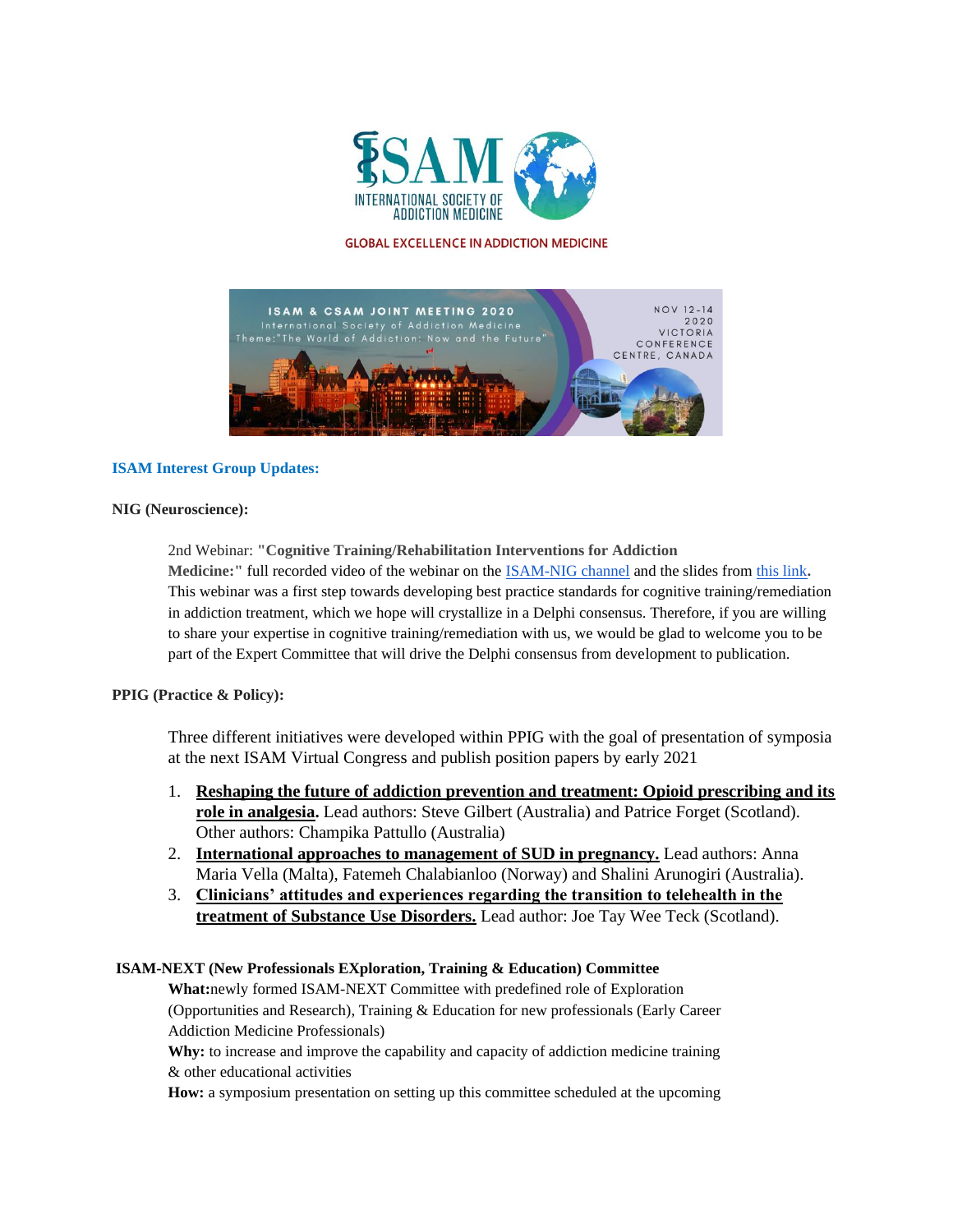

#### **GLOBAL EXCELLENCE IN ADDICTION MEDICINE**



### **ISAM Interest Group Updates:**

### **NIG (Neuroscience):**

2nd Webinar: **"Cognitive Training/Rehabilitation Interventions for Addiction Medicine:"** full recorded video of the webinar on the [ISAM-NIG channel](https://ddec1-0-en-ctp.trendmicro.com/wis/clicktime/v1/query?url=https%3a%2f%2fwww.youtube.com%2fwatch%3fv%3dnoRLepmhD1U&umid=045f7212-9727-4a15-9cc5-ee0fb5880407&auth=a3bd55c094d03421cab4e906146bf630b01a7779-c67d0e5c581c241b3a01848023d72c209faf0cec) and the slides from [this link](https://ddec1-0-en-ctp.trendmicro.com/wis/clicktime/v1/query?url=https%3a%2f%2fwww.dropbox.com%2fs%2fneg0opvajjzftct%2fISAM%2dNIG%5f2ndWebinar%5fSlides.pdf%3fdl%3d0&umid=045f7212-9727-4a15-9cc5-ee0fb5880407&auth=a3bd55c094d03421cab4e906146bf630b01a7779-b02db3d0d7e5cd8f9b1e2c421c0f3660df7b2bf1)**.**  This webinar was a first step towards developing best practice standards for cognitive training/remediation in addiction treatment, which we hope will crystallize in a Delphi consensus. Therefore, if you are willing to share your expertise in cognitive training/remediation with us, we would be glad to welcome you to be part of the Expert Committee that will drive the Delphi consensus from development to publication.

# **PPIG (Practice & Policy):**

Three different initiatives were developed within PPIG with the goal of presentation of symposia at the next ISAM Virtual Congress and publish position papers by early 2021

- 1. **Reshaping the future of addiction prevention and treatment: Opioid prescribing and its role in analgesia.** Lead authors: Steve Gilbert (Australia) and Patrice Forget (Scotland). Other authors: Champika Pattullo (Australia)
- 2. **International approaches to management of SUD in pregnancy.** Lead authors: Anna Maria Vella (Malta), Fatemeh Chalabianloo (Norway) and Shalini Arunogiri (Australia).
- 3. **Clinicians' attitudes and experiences regarding the transition to telehealth in the treatment of Substance Use Disorders.** Lead author: Joe Tay Wee Teck (Scotland).

# **ISAM-NEXT (New Professionals EXploration, Training & Education) Committee**

**What:**newly formed ISAM-NEXT Committee with predefined role of Exploration (Opportunities and Research), Training & Education for new professionals (Early Career Addiction Medicine Professionals)

**Why:** to increase and improve the capability and capacity of addiction medicine training & other educational activities

**How:** a symposium presentation on setting up this committee scheduled at the upcoming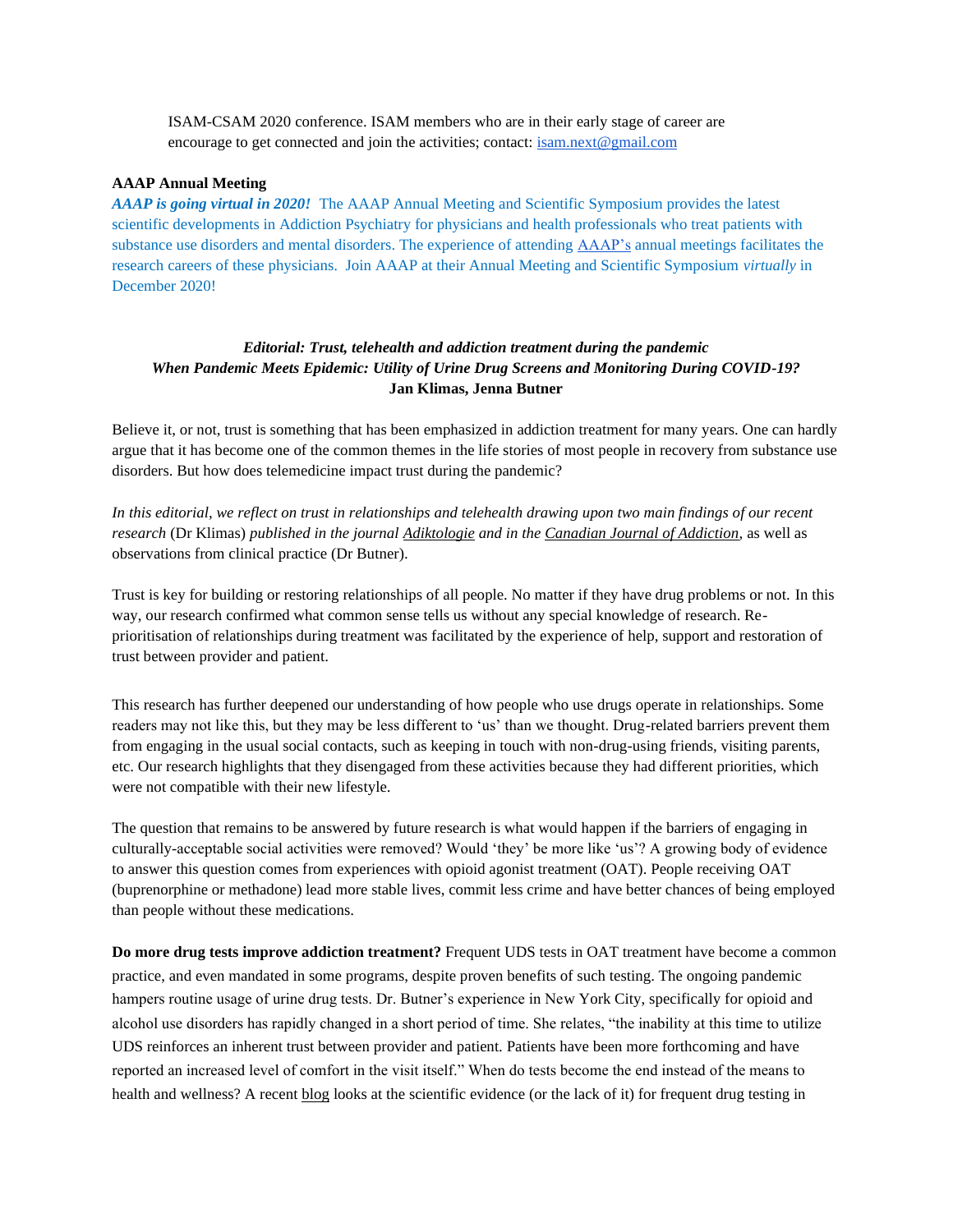ISAM-CSAM 2020 conference. ISAM members who are in their early stage of career are encourage to get connected and join the activities; contact: [isam.next@gmail.com](mailto:isam.next@gmail.com)

#### **AAAP Annual Meeting**

*AAAP is going virtual in 2020!* The AAAP Annual Meeting and Scientific Symposium provides the latest scientific developments in Addiction Psychiatry for physicians and health professionals who treat patients with substance use disorders and mental disorders. The experience of attending [AAAP's](https://smex12-5-en-ctp.trendmicro.com/wis/clicktime/v1/query?url=https%3a%2f%2fwww.aaap.org%2fannual%2dmeeting%2f&umid=6aa7036a-bb97-46ef-9ee8-221897f033dc&auth=92832370a92c0cff5ff7e7d2be25089679458981-031272eba6162907cbce21d0ff09747d020d7ae1) annual meetings facilitates the research careers of these physicians. Join AAAP at their Annual Meeting and Scientific Symposium *virtually* in December 2020!

# *Editorial: Trust, telehealth and addiction treatment during the pandemic When Pandemic Meets Epidemic: Utility of Urine Drug Screens and Monitoring During COVID-19?* **Jan Klimas, Jenna Butner**

Believe it, or not, trust is something that has been emphasized in addiction treatment for many years. One can hardly argue that it has become one of the common themes in the life stories of most people in recovery from substance use disorders. But how does telemedicine impact trust during the pandemic?

In this editorial, we reflect on trust in relationships and telehealth drawing upon two main findings of our recent *research* (Dr Klimas) *published in the journal [Adiktologie](https://adiktologie-journal.eu/) and in the [Canadian Journal of Addiction,](https://csam-smca.org/canadian-journal-of-addiction/)* as well as observations from clinical practice (Dr Butner).

Trust is key for building or restoring relationships of all people. No matter if they have drug problems or not. In this way, our research confirmed what common sense tells us without any special knowledge of research. Reprioritisation of relationships during treatment was facilitated by the experience of help, support and restoration of trust between provider and patient.

This research has further deepened our understanding of how people who use drugs operate in relationships. Some readers may not like this, but they may be less different to 'us' than we thought. Drug-related barriers prevent them from engaging in the usual social contacts, such as keeping in touch with non-drug-using friends, visiting parents, etc. Our research highlights that they disengaged from these activities because they had different priorities, which were not compatible with their new lifestyle.

The question that remains to be answered by future research is what would happen if the barriers of engaging in culturally-acceptable social activities were removed? Would 'they' be more like 'us'? A growing body of evidence to answer this question comes from experiences with opioid agonist treatment (OAT). People receiving OAT (buprenorphine or methadone) lead more stable lives, commit less crime and have better chances of being employed than people without these medications.

**Do more drug tests improve addiction treatment?** Frequent UDS tests in OAT treatment have become a common practice, and even mandated in some programs, despite proven benefits of such testing. The ongoing pandemic hampers routine usage of urine drug tests. Dr. Butner's experience in New York City, specifically for opioid and alcohol use disorders has rapidly changed in a short period of time. She relates, "the inability at this time to utilize UDS reinforces an inherent trust between provider and patient. Patients have been more forthcoming and have reported an increased level of comfort in the visit itself." When do tests become the end instead of the means to health and wellness? A recent [blog](https://janklimas.com/2019/01/01/drug-tests-addiction-treatment/) looks at the scientific evidence (or the lack of it) for frequent drug testing in